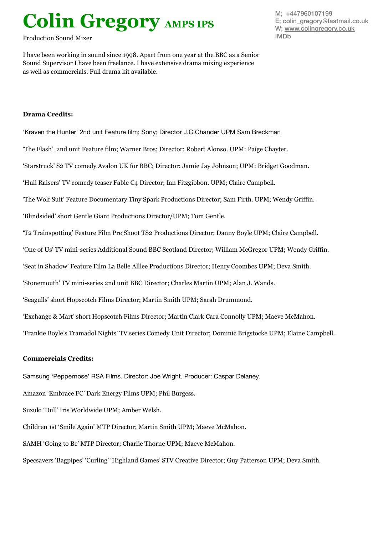## **Colin Gregory AMPS IPS**

Production Sound Mixer

I have been working in sound since 1998. Apart from one year at the BBC as a Senior Sound Supervisor I have been freelance. I have extensive drama mixing experience as well as commercials. Full drama kit available.

## **Drama Credits:**

'Kraven the Hunter' 2nd unit Feature film; Sony; Director J.C.Chander UPM Sam Breckman

'The Flash' 2nd unit Feature film; Warner Bros; Director: Robert Alonso. UPM: Paige Chayter.

'Starstruck' S2 TV comedy Avalon UK for BBC; Director: Jamie Jay Johnson; UPM: Bridget Goodman.

'Hull Raisers' TV comedy teaser Fable C4 Director; Ian Fitzgibbon. UPM; Claire Campbell.

'The Wolf Suit' Feature Documentary Tiny Spark Productions Director; Sam Firth. UPM; Wendy Griffin.

'Blindsided' short Gentle Giant Productions Director/UPM; Tom Gentle.

'T2 Trainspotting' Feature Film Pre Shoot TS2 Productions Director; Danny Boyle UPM; Claire Campbell.

'One of Us' TV mini-series Additional Sound BBC Scotland Director; William McGregor UPM; Wendy Griffin.

'Seat in Shadow' Feature Film La Belle Alllee Productions Director; Henry Coombes UPM; Deva Smith.

'Stonemouth' TV mini-series 2nd unit BBC Director; Charles Martin UPM; Alan J. Wands.

'Seagulls' short Hopscotch Films Director; Martin Smith UPM; Sarah Drummond.

'Exchange & Mart' short Hopscotch Films Director; Martin Clark Cara Connolly UPM; Maeve McMahon.

'Frankie Boyle's Tramadol Nights' TV series Comedy Unit Director; Dominic Brigstocke UPM; Elaine Campbell.

## **Commercials Credits:**

Samsung 'Peppernose' RSA Films. Director: Joe Wright. Producer: Caspar Delaney.

Amazon 'Embrace FC' Dark Energy Films UPM; Phil Burgess.

Suzuki 'Dull' Iris Worldwide UPM; Amber Welsh.

Children 1st 'Smile Again' MTP Director; Martin Smith UPM; Maeve McMahon.

SAMH 'Going to Be' MTP Director; Charlie Thorne UPM; Maeve McMahon.

Specsavers 'Bagpipes' 'Curling' 'Highland Games' STV Creative Director; Guy Patterson UPM; Deva Smith.